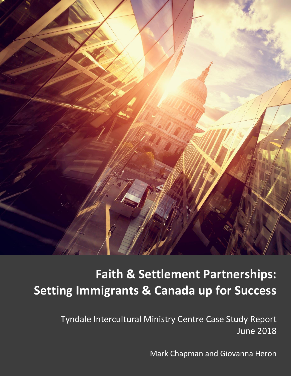

# **Faith & Settlement Partnerships: Setting Immigrants & Canada up for Success**

Tyndale Intercultural Ministry Centre Case Study Report June 2018

Mark Chapman and Giovanna Heron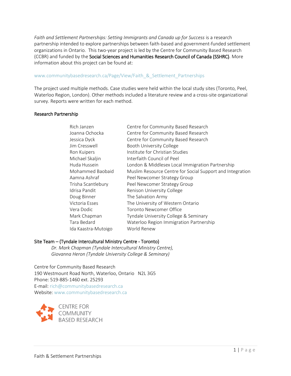Faith and Settlement Partnerships: Setting Immigrants and Canada up for Success is a research partnership intended to explore partnerships between faith-based and government-funded settlement organizations in Ontario. This two-year project is led by the Centre for Community Based Research (CCBR) and funded by the Social Sciences and Humanities Research Council of Canada (SSHRC). More information about this project can be found at:

### www.communitybasedresearch.ca/Page/View/Faith & Settlement Partnerships

The project used multiple methods. Case studies were held within the local study sites (Toronto, Peel, Waterloo Region, London). Other methods included a literature review and a cross-site organizational survey. Reports were written for each method.

#### Research Partnership

| Rich Janzen         | Centre for Community Based Research                       |
|---------------------|-----------------------------------------------------------|
| Joanna Ochocka      | Centre for Community Based Research                       |
| Jessica Dyck        | Centre for Community Based Research                       |
| Jim Cresswell       | Booth University College                                  |
| Ron Kuipers         | Institute for Christian Studies                           |
| Michael Skaljin     | Interfaith Council of Peel                                |
| Huda Hussein        | London & Middlesex Local Immigration Partnership          |
| Mohammed Baobaid    | Muslim Resource Centre for Social Support and Integration |
| Aamna Ashraf        | Peel Newcomer Strategy Group                              |
| Trisha Scantlebury  | Peel Newcomer Strategy Group                              |
| Idrisa Pandit       | Renison University College                                |
| Doug Binner         | The Salvation Army                                        |
| Victoria Esses      | The University of Western Ontario                         |
| Vera Dodic          | Toronto Newcomer Office                                   |
| Mark Chapman        | Tyndale University College & Seminary                     |
| Tara Bedard         | Waterloo Region Immigration Partnership                   |
| Ida Kaastra-Mutoigo | World Renew                                               |

#### Site Team – (Tyndale Intercultural Ministry Centre - Toronto)

*Dr. Mark Chapman (Tyndale Intercultural Ministry Centre), Giovanna Heron (Tyndale University College & Seminary)*

Centre for Community Based Research 190 Westmount Road North, Waterloo, Ontario N2L 3G5 Phone: 519-885-1460 ext. 25293 E-mail: [rich@communitybasedresearch.ca](mailto:rich@communitybasedresearch.ca) Website: [www.communitybasedresearch.ca](http://www.communitybasedresearch.ca/)

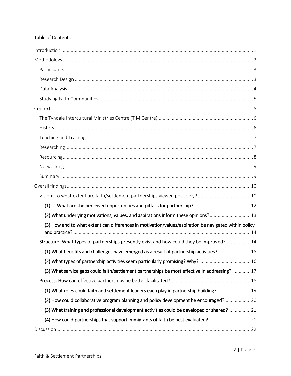# Table of Contents

| (1)                                                                                                   |  |
|-------------------------------------------------------------------------------------------------------|--|
| (2) What underlying motivations, values, and aspirations inform these opinions? 13                    |  |
| (3) How and to what extent can differences in motivation/values/aspiration be navigated within policy |  |
| Structure: What types of partnerships presently exist and how could they be improved? 14              |  |
| (1) What benefits and challenges have emerged as a result of partnership activities? 15               |  |
| (2) What types of partnership activities seem particularly promising? Why? 16                         |  |
| (3) What service gaps could faith/settlement partnerships be most effective in addressing? 17         |  |
|                                                                                                       |  |
| (1) What roles could faith and settlement leaders each play in partnership building?  19              |  |
| (2) How could collaborative program planning and policy development be encouraged? 20                 |  |
| (3) What training and professional development activities could be developed or shared? 21            |  |
| (4) How could partnerships that support immigrants of faith be best evaluated?21                      |  |
|                                                                                                       |  |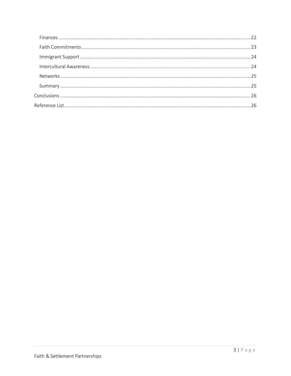<span id="page-3-0"></span>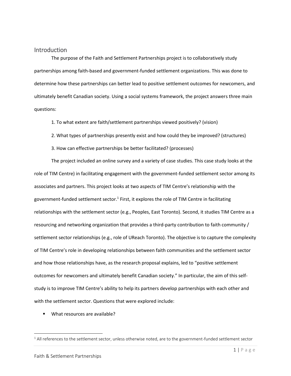# Introduction

The purpose of the Faith and Settlement Partnerships project is to collaboratively study partnerships among faith-based and government-funded settlement organizations. This was done to determine how these partnerships can better lead to positive settlement outcomes for newcomers, and ultimately benefit Canadian society. Using a social systems framework, the project answers three main questions:

1. To what extent are faith/settlement partnerships viewed positively? (vision)

2. What types of partnerships presently exist and how could they be improved? (structures)

3. How can effective partnerships be better facilitated? (processes)

The project included an online survey and a variety of case studies. This case study looks at the role of TIM Centre) in facilitating engagement with the government-funded settlement sector among its associates and partners. This project looks at two aspects of TIM Centre's relationship with the government-funded settlement sector.<sup>1</sup> First, it explores the role of TIM Centre in facilitating relationships with the settlement sector (e.g., Peoples, East Toronto). Second, it studies TIM Centre as a resourcing and networking organization that provides a third-party contribution to faith community / settlement sector relationships (e.g., role of UReach Toronto). The objective is to capture the complexity of TIM Centre's role in developing relationships between faith communities and the settlement sector and how those relationships have, as the research proposal explains, led to "positive settlement outcomes for newcomers and ultimately benefit Canadian society." In particular, the aim of this selfstudy is to improve TIM Centre's ability to help its partners develop partnerships with each other and with the settlement sector. Questions that were explored include:

■ What resources are available?

 $\overline{\phantom{a}}$ 

 $1$  All references to the settlement sector, unless otherwise noted, are to the government-funded settlement sector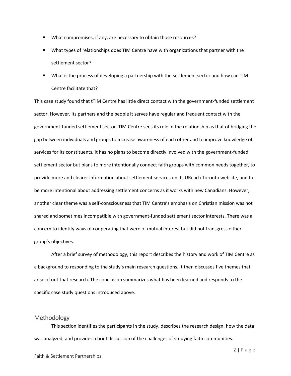- What compromises, if any, are necessary to obtain those resources?
- What types of relationships does TIM Centre have with organizations that partner with the settlement sector?
- What is the process of developing a partnership with the settlement sector and how can TIM Centre facilitate that?

This case study found that tTIM Centre has little direct contact with the government-funded settlement sector. However, its partners and the people it serves have regular and frequent contact with the government-funded settlement sector. TIM Centre sees its role in the relationship as that of bridging the gap between individuals and groups to increase awareness of each other and to improve knowledge of services for its constituents. It has no plans to become directly involved with the government-funded settlement sector but plans to more intentionally connect faith groups with common needs together, to provide more and clearer information about settlement services on its UReach Toronto website, and to be more intentional about addressing settlement concerns as it works with new Canadians. However, another clear theme was a self-consciousness that TIM Centre's emphasis on Christian mission was not shared and sometimes incompatible with government-funded settlement sector interests. There was a concern to identify ways of cooperating that were of mutual interest but did not transgress either group's objectives.

After a brief survey of methodology, this report describes the history and work of TIM Centre as a background to responding to the study's main research questions. It then discusses five themes that arise of out that research. The conclusion summarizes what has been learned and responds to the specific case study questions introduced above.

# <span id="page-5-0"></span>Methodology

This section identifies the participants in the study, describes the research design, how the data was analyzed, and provides a brief discussion of the challenges of studying faith communities.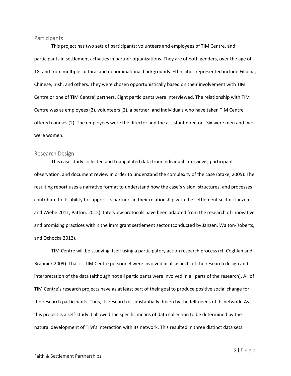#### <span id="page-6-0"></span>**Participants**

This project has two sets of participants: volunteers and employees of TIM Centre, and participants in settlement activities in partner organizations. They are of both genders, over the age of 18, and from multiple cultural and denominational backgrounds. Ethnicities represented include Filipina, Chinese, Irish, and others. They were chosen opportunistically based on their involvement with TIM Centre or one of TIM Centre' partners. Eight participants were interviewed. The relationship with TIM Centre was as employees (2), volunteers (2), a partner, and individuals who have taken TIM Centre offered courses (2). The employees were the director and the assistant director. Six were men and two were women.

#### <span id="page-6-1"></span>Research Design

This case study collected and triangulated data from individual interviews, participant observation, and document review in order to understand the complexity of the case (Stake, 2005). The resulting report uses a narrative format to understand how the case's vision, structures, and processes contribute to its ability to support its partners in their relationship with the settlement sector (Janzen and Wiebe 2011; Patton, 2015). Interview protocols have been adapted from the research of innovative and promising practices within the immigrant settlement sector (conducted by Janzen, Walton-Roberts, and Ochocka 2012).

TIM Centre will be studying itself using a participatory action research process (cf. Coghlan and Brannick 2009). That is, TIM Centre personnel were involved in all aspects of the research design and interpretation of the data (although not all participants were involved in all parts of the research). All of TIM Centre's research projects have as at least part of their goal to produce positive social change for the research participants. Thus, its research is substantially driven by the felt needs of its network. As this project is a self-study it allowed the specific means of data collection to be determined by the natural development of TIM's interaction with its network. This resulted in three distinct data sets: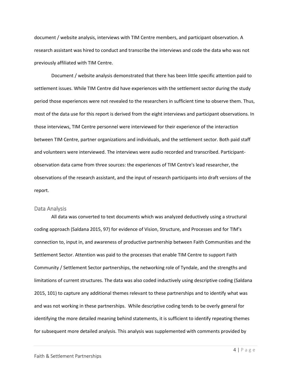document / website analysis, interviews with TIM Centre members, and participant observation. A research assistant was hired to conduct and transcribe the interviews and code the data who was not previously affiliated with TIM Centre.

Document / website analysis demonstrated that there has been little specific attention paid to settlement issues. While TIM Centre did have experiences with the settlement sector during the study period those experiences were not revealed to the researchers in sufficient time to observe them. Thus, most of the data use for this report is derived from the eight interviews and participant observations. In those interviews, TIM Centre personnel were interviewed for their experience of the interaction between TIM Centre, partner organizations and individuals, and the settlement sector. Both paid staff and volunteers were interviewed. The interviews were audio recorded and transcribed. Participantobservation data came from three sources: the experiences of TIM Centre's lead researcher, the observations of the research assistant, and the input of research participants into draft versions of the report.

#### <span id="page-7-0"></span>Data Analysis

All data was converted to text documents which was analyzed deductively using a structural coding approach (Saldana 2015, 97) for evidence of Vision, Structure, and Processes and for TIM's connection to, input in, and awareness of productive partnership between Faith Communities and the Settlement Sector. Attention was paid to the processes that enable TIM Centre to support Faith Community / Settlement Sector partnerships, the networking role of Tyndale, and the strengths and limitations of current structures. The data was also coded inductively using descriptive coding (Saldana 2015, 101) to capture any additional themes relevant to these partnerships and to identify what was and was not working in these partnerships. While descriptive coding tends to be overly general for identifying the more detailed meaning behind statements, it is sufficient to identify repeating themes for subsequent more detailed analysis. This analysis was supplemented with comments provided by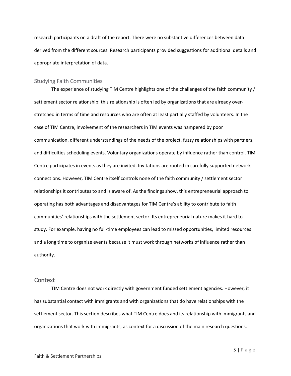research participants on a draft of the report. There were no substantive differences between data derived from the different sources. Research participants provided suggestions for additional details and appropriate interpretation of data.

#### <span id="page-8-0"></span>Studying Faith Communities

The experience of studying TIM Centre highlights one of the challenges of the faith community / settlement sector relationship: this relationship is often led by organizations that are already overstretched in terms of time and resources who are often at least partially staffed by volunteers. In the case of TIM Centre, involvement of the researchers in TIM events was hampered by poor communication, different understandings of the needs of the project, fuzzy relationships with partners, and difficulties scheduling events. Voluntary organizations operate by influence rather than control. TIM Centre participates in events as they are invited. Invitations are rooted in carefully supported network connections. However, TIM Centre itself controls none of the faith community / settlement sector relationships it contributes to and is aware of. As the findings show, this entrepreneurial approach to operating has both advantages and disadvantages for TIM Centre's ability to contribute to faith communities' relationships with the settlement sector. Its entrepreneurial nature makes it hard to study. For example, having no full-time employees can lead to missed opportunities, limited resources and a long time to organize events because it must work through networks of influence rather than authority.

#### <span id="page-8-1"></span>**Context**

TIM Centre does not work directly with government funded settlement agencies. However, it has substantial contact with immigrants and with organizations that do have relationships with the settlement sector. This section describes what TIM Centre does and its relationship with immigrants and organizations that work with immigrants, as context for a discussion of the main research questions.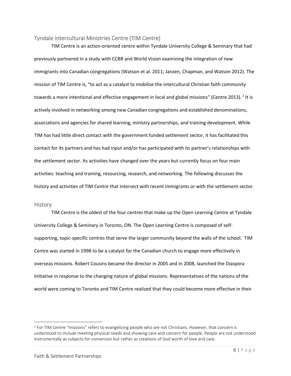#### <span id="page-9-0"></span>Tyndale Intercultural Ministries Centre (TIM Centre)

TIM Centre is an action-oriented centre within Tyndale University College & Seminary that had previously partnered in a study with CCBR and World Vision examining the integration of new immigrants into Canadian congregations (Watson et al. 2011; Janzen, Chapman, and Watson 2012). The mission of TIM Centre is, "to act as a catalyst to mobilize the intercultural Christian faith community towards a more intentional and effective engagement in local and global missions" (Centre 2013). <sup>2</sup> It is actively involved in networking among new Canadian congregations and established denominations, associations and agencies for shared learning, ministry partnerships, and training development. While TIM has had little direct contact with the government funded settlement sector, it has facilitated this contact for its partners and has had input and/or has participated with its partner's relationships with the settlement sector. Its activities have changed over the years but currently focus on four main activities: teaching and training, resourcing, research, and networking. The following discusses the history and activities of TIM Centre that intersect with recent immigrants or with the settlement sector.

#### <span id="page-9-1"></span>**History**

 $\overline{a}$ 

TIM Centre is the oldest of the four centres that make up the Open Learning Centre at Tyndale University College & Seminary in Toronto, ON. The Open Learning Centre is composed of selfsupporting, topic-specific centres that serve the larger community beyond the walls of the school. TIM Centre was started in 1998 to be a catalyst for the Canadian church to engage more effectively in overseas missions. Robert Cousins became the director in 2005 and in 2008, launched the Diaspora Initiative in response to the changing nature of global missions. Representatives of the nations of the world were coming to Toronto and TIM Centre realized that they could become more effective in their

<sup>2</sup> For TIM Centre "missions" refers to evangelizing people who are not Christians. However, that concern is understood to include meeting physical needs and showing care and concern for people. People are not understood instrumentally as subjects for conversion but rather as creations of God worth of love and care.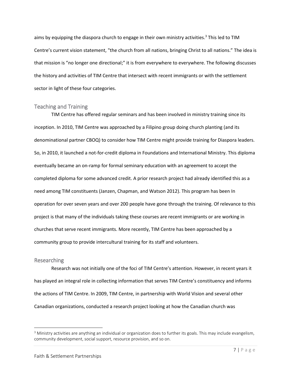aims by equipping the diaspora church to engage in their own ministry activities. <sup>3</sup> This led to TIM Centre's current vision statement, "the church from all nations, bringing Christ to all nations." The idea is that mission is "no longer one directional;" it is from everywhere to everywhere. The following discusses the history and activities of TIM Centre that intersect with recent immigrants or with the settlement sector in light of these four categories.

#### <span id="page-10-0"></span>Teaching and Training

TIM Centre has offered regular seminars and has been involved in ministry training since its inception. In 2010, TIM Centre was approached by a Filipino group doing church planting (and its denominational partner CBOQ) to consider how TIM Centre might provide training for Diaspora leaders. So, in 2010, it launched a not-for-credit diploma in Foundations and International Ministry. This diploma eventually became an on-ramp for formal seminary education with an agreement to accept the completed diploma for some advanced credit. A prior research project had already identified this as a need among TIM constituents (Janzen, Chapman, and Watson 2012). This program has been In operation for over seven years and over 200 people have gone through the training. Of relevance to this project is that many of the individuals taking these courses are recent immigrants or are working in churches that serve recent immigrants. More recently, TIM Centre has been approached by a community group to provide intercultural training for its staff and volunteers.

#### <span id="page-10-1"></span>Researching

 $\overline{\phantom{a}}$ 

Research was not initially one of the foci of TIM Centre's attention. However, in recent years it has played an integral role in collecting information that serves TIM Centre's constituency and informs the actions of TIM Centre. In 2009, TIM Centre, in partnership with World Vision and several other Canadian organizations, conducted a research project looking at how the Canadian church was

 $3$  Ministry activities are anything an individual or organization does to further its goals. This may include evangelism, community development, social support, resource provision, and so on.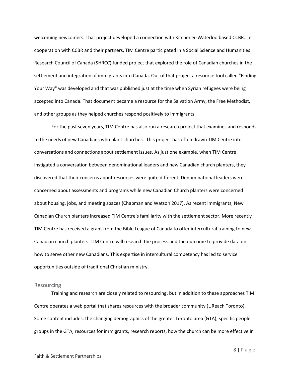welcoming newcomers. That project developed a connection with Kitchener-Waterloo based CCBR. In cooperation with CCBR and their partners, TIM Centre participated in a Social Science and Humanities Research Council of Canada (SHRCC) funded project that explored the role of Canadian churches in the settlement and integration of immigrants into Canada. Out of that project a resource tool called "Finding Your Way" was developed and that was published just at the time when Syrian refugees were being accepted into Canada. That document became a resource for the Salvation Army, the Free Methodist, and other groups as they helped churches respond positively to immigrants.

For the past seven years, TIM Centre has also run a research project that examines and responds to the needs of new Canadians who plant churches. This project has often drawn TIM Centre into conversations and connections about settlement issues. As just one example, when TIM Centre instigated a conversation between denominational leaders and new Canadian church planters, they discovered that their concerns about resources were quite different. Denominational leaders were concerned about assessments and programs while new Canadian Church planters were concerned about housing, jobs, and meeting spaces (Chapman and Watson 2017). As recent immigrants, New Canadian Church planters increased TIM Centre's familiarity with the settlement sector. More recently TIM Centre has received a grant from the Bible League of Canada to offer intercultural training to new Canadian church planters. TIM Centre will research the process and the outcome to provide data on how to serve other new Canadians. This expertise in intercultural competency has led to service opportunities outside of traditional Christian ministry.

#### <span id="page-11-0"></span>**Resourcing**

Training and research are closely related to resourcing, but in addition to these approaches TIM Centre operates a web portal that shares resources with the broader community (UReach Toronto). Some content includes: the changing demographics of the greater Toronto area (GTA), specific people groups in the GTA, resources for immigrants, research reports, how the church can be more effective in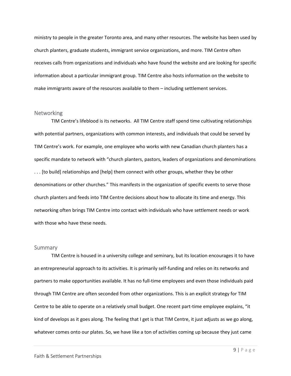ministry to people in the greater Toronto area, and many other resources. The website has been used by church planters, graduate students, immigrant service organizations, and more. TIM Centre often receives calls from organizations and individuals who have found the website and are looking for specific information about a particular immigrant group. TIM Centre also hosts information on the website to make immigrants aware of the resources available to them – including settlement services.

#### <span id="page-12-0"></span>**Networking**

TIM Centre's lifeblood is its networks. All TIM Centre staff spend time cultivating relationships with potential partners, organizations with common interests, and individuals that could be served by TIM Centre's work. For example, one employee who works with new Canadian church planters has a specific mandate to network with "church planters, pastors, leaders of organizations and denominations . . . [to build] relationships and [help] them connect with other groups, whether they be other denominations or other churches." This manifests in the organization of specific events to serve those church planters and feeds into TIM Centre decisions about how to allocate its time and energy. This networking often brings TIM Centre into contact with individuals who have settlement needs or work with those who have these needs.

#### <span id="page-12-1"></span>Summary

TIM Centre is housed in a university college and seminary, but its location encourages it to have an entrepreneurial approach to its activities. It is primarily self-funding and relies on its networks and partners to make opportunities available. It has no full-time employees and even those individuals paid through TIM Centre are often seconded from other organizations. This is an explicit strategy for TIM Centre to be able to operate on a relatively small budget. One recent part-time employee explains, "it kind of develops as it goes along. The feeling that I get is that TIM Centre, it just adjusts as we go along, whatever comes onto our plates. So, we have like a ton of activities coming up because they just came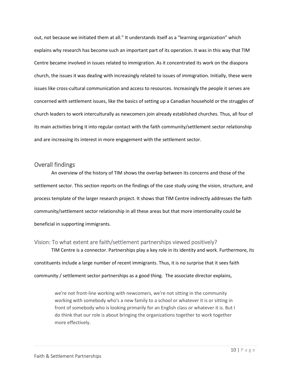out, not because we initiated them at all." It understands itself as a "learning organization" which explains why research has become such an important part of its operation. It was in this way that TIM Centre became involved in issues related to immigration. As it concentrated its work on the diaspora church, the issues it was dealing with increasingly related to issues of immigration. Initially, these were issues like cross-cultural communication and access to resources. Increasingly the people it serves are concerned with settlement issues, like the basics of setting up a Canadian household or the struggles of church leaders to work interculturally as newcomers join already established churches. Thus, all four of its main activities bring it into regular contact with the faith community/settlement sector relationship and are increasing its interest in more engagement with the settlement sector.

# <span id="page-13-0"></span>Overall findings

An overview of the history of TIM shows the overlap between its concerns and those of the settlement sector. This section reports on the findings of the case study using the vision, structure, and process template of the larger research project. It shows that TIM Centre indirectly addresses the faith community/settlement sector relationship in all these areas but that more intentionality could be beneficial in supporting immigrants.

<span id="page-13-1"></span>Vision: To what extent are faith/settlement partnerships viewed positively? TIM Centre is a connector. Partnerships play a key role in its identity and work. Furthermore, its constituents include a large number of recent immigrants. Thus, it is no surprise that it sees faith community / settlement sector partnerships as a good thing. The associate director explains,

we're not front-line working with newcomers, we're not sitting in the community working with somebody who's a new family to a school or whatever it is or sitting in front of somebody who is looking primarily for an English class or whatever it is. But I do think that our role is about bringing the organizations together to work together more effectively.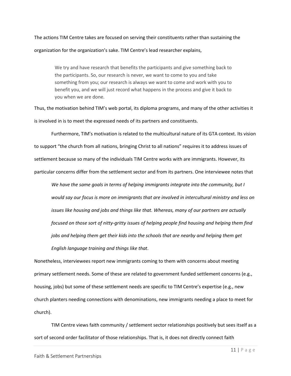# The actions TIM Centre takes are focused on serving their constituents rather than sustaining the organization for the organization's sake. TIM Centre's lead researcher explains,

We try and have research that benefits the participants and give something back to the participants. So, our research is never, we want to come to you and take something from you; our research is always we want to come and work with you to benefit you, and we will just record what happens in the process and give it back to you when we are done.

Thus, the motivation behind TIM's web portal, its diploma programs, and many of the other activities it is involved in is to meet the expressed needs of its partners and constituents.

Furthermore, TIM's motivation is related to the multicultural nature of its GTA context. Its vision to support "the church from all nations, bringing Christ to all nations" requires it to address issues of settlement because so many of the individuals TIM Centre works with are immigrants. However, its particular concerns differ from the settlement sector and from its partners. One interviewee notes that

*We have the same goals in terms of helping immigrants integrate into the community, but I would say our focus is more on immigrants that are involved in intercultural ministry and less on issues like housing and jobs and things like that. Whereas, many of our partners are actually focused on those sort of nitty-gritty issues of helping people find housing and helping them find jobs and helping them get their kids into the schools that are nearby and helping them get English language training and things like that*.

Nonetheless, interviewees report new immigrants coming to them with concerns about meeting primary settlement needs. Some of these are related to government funded settlement concerns (e.g., housing, jobs) but some of these settlement needs are specific to TIM Centre's expertise (e.g., new church planters needing connections with denominations, new immigrants needing a place to meet for church).

TIM Centre views faith community / settlement sector relationships positively but sees itself as a sort of second order facilitator of those relationships. That is, it does not directly connect faith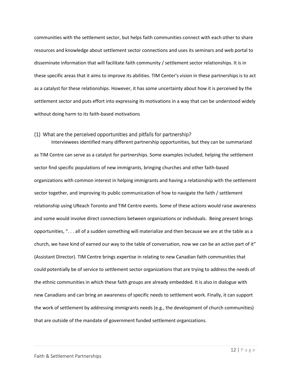communities with the settlement sector, but helps faith communities connect with each other to share resources and knowledge about settlement sector connections and uses its seminars and web portal to disseminate information that will facilitate faith community / settlement sector relationships. It is in these specific areas that it aims to improve its abilities. TIM Center's vision in these partnerships is to act as a catalyst for these relationships. However, it has some uncertainty about how it is perceived by the settlement sector and puts effort into expressing its motivations in a way that can be understood widely without doing harm to its faith-based motivations

#### <span id="page-15-0"></span>(1) What are the perceived opportunities and pitfalls for partnership?

Interviewees identified many different partnership opportunities, but they can be summarized as TIM Centre can serve as a catalyst for partnerships. Some examples included, helping the settlement sector find specific populations of new immigrants, bringing churches and other faith-based organizations with common interest in helping immigrants and having a relationship with the settlement sector together, and improving its public communication of how to navigate the faith / settlement relationship using UReach Toronto and TIM Centre events. Some of these actions would raise awareness and some would involve direct connections between organizations or individuals. Being present brings opportunities, ". . . all of a sudden something will materialize and then because we are at the table as a church, we have kind of earned our way to the table of conversation, now we can be an active part of it" (Assistant Director). TIM Centre brings expertise in relating to new Canadian faith communities that could potentially be of service to settlement sector organizations that are trying to address the needs of the ethnic communities in which these faith groups are already embedded. It is also in dialogue with new Canadians and can bring an awareness of specific needs to settlement work. Finally, it can support the work of settlement by addressing immigrants needs (e.g., the development of church communities) that are outside of the mandate of government funded settlement organizations.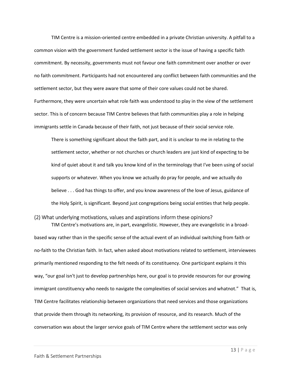TIM Centre is a mission-oriented centre embedded in a private Christian university. A pitfall to a common vision with the government funded settlement sector is the issue of having a specific faith commitment. By necessity, governments must not favour one faith commitment over another or over no faith commitment. Participants had not encountered any conflict between faith communities and the settlement sector, but they were aware that some of their core values could not be shared. Furthermore, they were uncertain what role faith was understood to play in the view of the settlement sector. This is of concern because TIM Centre believes that faith communities play a role in helping immigrants settle in Canada because of their faith, not just because of their social service role.

There is something significant about the faith part, and it is unclear to me in relating to the settlement sector, whether or not churches or church leaders are just kind of expecting to be kind of quiet about it and talk you know kind of in the terminology that I've been using of social supports or whatever. When you know we actually do pray for people, and we actually do believe . . . God has things to offer, and you know awareness of the love of Jesus, guidance of the Holy Spirit, is significant. Beyond just congregations being social entities that help people.

#### <span id="page-16-0"></span>(2) What underlying motivations, values and aspirations inform these opinions?

TIM Centre's motivations are, in part, evangelistic. However, they are evangelistic in a broadbased way rather than in the specific sense of the actual event of an individual switching from faith or no-faith to the Christian faith. In fact, when asked about motivations related to settlement, interviewees primarily mentioned responding to the felt needs of its constituency. One participant explains it this way, "our goal isn't just to develop partnerships here, our goal is to provide resources for our growing immigrant constituency who needs to navigate the complexities of social services and whatnot." That is, TIM Centre facilitates relationship between organizations that need services and those organizations that provide them through its networking, its provision of resource, and its research. Much of the conversation was about the larger service goals of TIM Centre where the settlement sector was only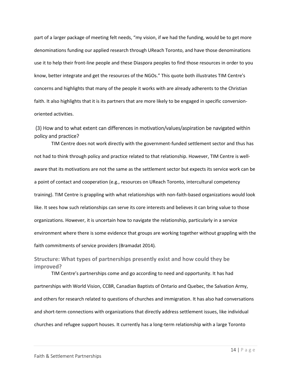part of a larger package of meeting felt needs, "my vision, if we had the funding, would be to get more denominations funding our applied research through UReach Toronto, and have those denominations use it to help their front-line people and these Diaspora peoples to find those resources in order to you know, better integrate and get the resources of the NGOs." This quote both illustrates TIM Centre's concerns and highlights that many of the people it works with are already adherents to the Christian faith. It also highlights that it is its partners that are more likely to be engaged in specific conversionoriented activities.

# <span id="page-17-0"></span>(3) How and to what extent can differences in motivation/values/aspiration be navigated within policy and practice?

TIM Centre does not work directly with the government-funded settlement sector and thus has not had to think through policy and practice related to that relationship. However, TIM Centre is wellaware that its motivations are not the same as the settlement sector but expects its service work can be a point of contact and cooperation (e.g., resources on UReach Toronto, intercultural competency training). TIM Centre is grappling with what relationships with non-faith-based organizations would look like. It sees how such relationships can serve its core interests and believes it can bring value to those organizations. However, it is uncertain how to navigate the relationship, particularly in a service environment where there is some evidence that groups are working together without grappling with the faith commitments of service providers (Bramadat 2014)*.*

# <span id="page-17-1"></span>**Structure: What types of partnerships presently exist and how could they be improved?**

TIM Centre's partnerships come and go according to need and opportunity. It has had partnerships with World Vision, CCBR, Canadian Baptists of Ontario and Quebec, the Salvation Army, and others for research related to questions of churches and immigration. It has also had conversations and short-term connections with organizations that directly address settlement issues, like individual churches and refugee support houses. It currently has a long-term relationship with a large Toronto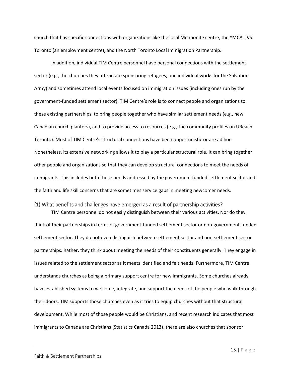church that has specific connections with organizations like the local Mennonite centre, the YMCA, JVS Toronto (an employment centre), and the North Toronto Local Immigration Partnership.

In addition, individual TIM Centre personnel have personal connections with the settlement sector (e.g., the churches they attend are sponsoring refugees, one individual works for the Salvation Army) and sometimes attend local events focused on immigration issues (including ones run by the government-funded settlement sector). TIM Centre's role is to connect people and organizations to these existing partnerships, to bring people together who have similar settlement needs (e.g., new Canadian church planters), and to provide access to resources (e.g., the community profiles on UReach Toronto). Most of TIM Centre's structural connections have been opportunistic or are ad hoc. Nonetheless, its extensive networking allows it to play a particular structural role. It can bring together other people and organizations so that they can develop structural connections to meet the needs of immigrants. This includes both those needs addressed by the government funded settlement sector and the faith and life skill concerns that are sometimes service gaps in meeting newcomer needs.

#### <span id="page-18-0"></span>(1) What benefits and challenges have emerged as a result of partnership activities?

TIM Centre personnel do not easily distinguish between their various activities. Nor do they think of their partnerships in terms of government-funded settlement sector or non-government-funded settlement sector. They do not even distinguish between settlement sector and non-settlement sector partnerships. Rather, they think about meeting the needs of their constituents generally. They engage in issues related to the settlement sector as it meets identified and felt needs. Furthermore, TIM Centre understands churches as being a primary support centre for new immigrants. Some churches already have established systems to welcome, integrate, and support the needs of the people who walk through their doors. TIM supports those churches even as it tries to equip churches without that structural development. While most of those people would be Christians, and recent research indicates that most immigrants to Canada are Christians (Statistics Canada 2013), there are also churches that sponsor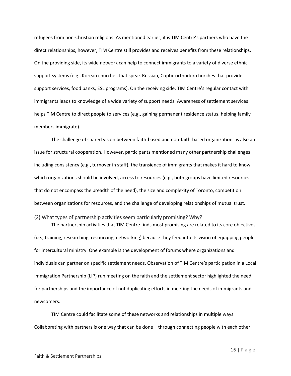refugees from non-Christian religions. As mentioned earlier, it is TIM Centre's partners who have the direct relationships, however, TIM Centre still provides and receives benefits from these relationships. On the providing side, its wide network can help to connect immigrants to a variety of diverse ethnic support systems (e.g., Korean churches that speak Russian, Coptic orthodox churches that provide support services, food banks, ESL programs). On the receiving side, TIM Centre's regular contact with immigrants leads to knowledge of a wide variety of support needs. Awareness of settlement services helps TIM Centre to direct people to services (e.g., gaining permanent residence status, helping family members immigrate).

The challenge of shared vision between faith-based and non-faith-based organizations is also an issue for structural cooperation. However, participants mentioned many other partnership challenges including consistency (e.g., turnover in staff), the transience of immigrants that makes it hard to know which organizations should be involved, access to resources (e.g., both groups have limited resources that do not encompass the breadth of the need), the size and complexity of Toronto, competition between organizations for resources, and the challenge of developing relationships of mutual trust.

#### <span id="page-19-0"></span>(2) What types of partnership activities seem particularly promising? Why?

The partnership activities that TIM Centre finds most promising are related to its core objectives (i.e., training, researching, resourcing, networking) because they feed into its vision of equipping people for intercultural ministry. One example is the development of forums where organizations and individuals can partner on specific settlement needs. Observation of TIM Centre's participation in a Local Immigration Partnership (LIP) run meeting on the faith and the settlement sector highlighted the need for partnerships and the importance of not duplicating efforts in meeting the needs of immigrants and newcomers.

TIM Centre could facilitate some of these networks and relationships in multiple ways. Collaborating with partners is one way that can be done – through connecting people with each other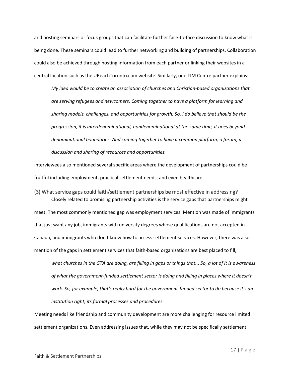and hosting seminars or focus groups that can facilitate further face-to-face discussion to know what is being done. These seminars could lead to further networking and building of partnerships. Collaboration could also be achieved through hosting information from each partner or linking their websites in a central location such as the UReachToronto.com website. Similarly, one TIM Centre partner explains:

*My idea would be to create an association of churches and Christian-based organizations that are serving refugees and newcomers. Coming together to have a platform for learning and sharing models, challenges, and opportunities for growth. So, I do believe that should be the progression, it is interdenominational, nondenominational at the same time, it goes beyond denominational boundaries. And coming together to have a common platform, a forum, a discussion and sharing of resources and opportunities.*

Interviewees also mentioned several specific areas where the development of partnerships could be fruitful including employment, practical settlement needs, and even healthcare.

<span id="page-20-0"></span>(3) What service gaps could faith/settlement partnerships be most effective in addressing? Closely related to promising partnership activities is the service gaps that partnerships might meet. The most commonly mentioned gap was employment services. Mention was made of immigrants that just want any job, immigrants with university degrees whose qualifications are not accepted in Canada, and immigrants who don't know how to access settlement services. However, there was also mention of the gaps in settlement services that faith-based organizations are best placed to fill,

*what churches in the GTA are doing, are filling in gaps or things that... So, a lot of it is awareness of what the government-funded settlement sector is doing and filling in places where it doesn't work. So, for example, that's really hard for the government-funded sector to do because it's an institution right, its formal processes and procedures.*

Meeting needs like friendship and community development are more challenging for resource limited settlement organizations. Even addressing issues that, while they may not be specifically settlement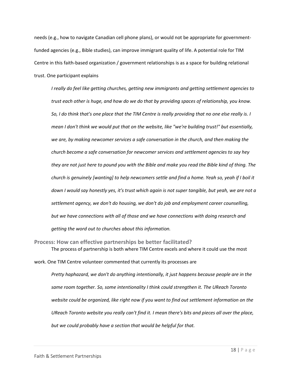needs (e.g., how to navigate Canadian cell phone plans), or would not be appropriate for governmentfunded agencies (e.g., Bible studies), can improve immigrant quality of life. A potential role for TIM Centre in this faith-based organization / government relationships is as a space for building relational trust. One participant explains

*I really do feel like getting churches, getting new immigrants and getting settlement agencies to trust each other is huge, and how do we do that by providing spaces of relationship, you know. So, I do think that's one place that the TIM Centre is really providing that no one else really is. I mean I don't think we would put that on the website, like "we're building trust!" but essentially, we are, by making newcomer services a safe conversation in the church, and then making the church become a safe conversation for newcomer services and settlement agencies to say hey they are not just here to pound you with the Bible and make you read the Bible kind of thing. The church is genuinely [wanting] to help newcomers settle and find a home. Yeah so, yeah if I boil it down I would say honestly yes, it's trust which again is not super tangible, but yeah, we are not a settlement agency, we don't do housing, we don't do job and employment career counselling, but we have connections with all of those and we have connections with doing research and getting the word out to churches about this information.*

<span id="page-21-0"></span>**Process: How can effective partnerships be better facilitated?** The process of partnership is both where TIM Centre excels and where it could use the most

work. One TIM Centre volunteer commented that currently its processes are

*Pretty haphazard, we don't do anything intentionally, it just happens because people are in the same room together. So, some intentionality I think could strengthen it. The UReach Toronto website could be organized, like right now if you want to find out settlement information on the UReach Toronto website you really can't find it. I mean there's bits and pieces all over the place, but we could probably have a section that would be helpful for that.*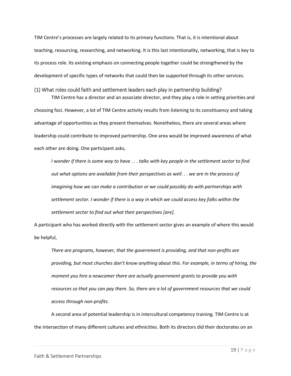TIM Centre's processes are largely related to its primary functions. That is, it is intentional about teaching, resourcing, researching, and networking. It is this last intentionality, networking, that is key to its process role. Its existing emphasis on connecting people together could be strengthened by the development of specific types of networks that could then be supported through its other services.

# <span id="page-22-0"></span>(1) What roles could faith and settlement leaders each play in partnership building?

TIM Centre has a director and an associate director, and they play a role in setting priorities and choosing foci. However, a lot of TIM Centre activity results from listening to its constituency and taking advantage of opportunities as they present themselves. Nonetheless, there are several areas where leadership could contribute to improved partnership. One area would be improved awareness of what each other are doing. One participant asks,

*I wonder if there is some way to have . . . talks with key people in the settlement sector to find out what options are available from their perspectives as well. . . we are in the process of imagining how we can make a contribution or we could possibly do with partnerships with settlement sector. I wonder if there is a way in which we could access key folks within the settlement sector to find out what their perspectives [are].*

A participant who has worked directly with the settlement sector gives an example of where this would be helpful,

*There are programs, however, that the government is providing, and that non-profits are providing, but most churches don't know anything about this. For example, in terms of hiring, the moment you hire a newcomer there are actually government grants to provide you with resources so that you can pay them. So, there are a lot of government resources that we could access through non-profits.*

A second area of potential leadership is in intercultural competency training. TIM Centre is at the intersection of many different cultures and ethnicities. Both its directors did their doctorates on an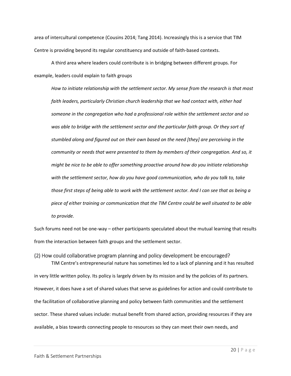area of intercultural competence (Cousins 2014; Tang 2014). Increasingly this is a service that TIM Centre is providing beyond its regular constituency and outside of faith-based contexts.

A third area where leaders could contribute is in bridging between different groups. For example, leaders could explain to faith groups

*How to initiate relationship with the settlement sector. My sense from the research is that most faith leaders, particularly Christian church leadership that we had contact with, either had someone in the congregation who had a professional role within the settlement sector and so was able to bridge with the settlement sector and the particular faith group. Or they sort of stumbled along and figured out on their own based on the need [they] are perceiving in the community or needs that were presented to them by members of their congregation. And so, it might be nice to be able to offer something proactive around how do you initiate relationship with the settlement sector, how do you have good communication, who do you talk to, take those first steps of being able to work with the settlement sector. And I can see that as being a piece of either training or communication that the TIM Centre could be well situated to be able to provide.*

Such forums need not be one-way – other participants speculated about the mutual learning that results from the interaction between faith groups and the settlement sector.

<span id="page-23-0"></span>(2) How could collaborative program planning and policy development be encouraged? TIM Centre's entrepreneurial nature has sometimes led to a lack of planning and it has resulted in very little written policy. Its policy is largely driven by its mission and by the policies of its partners. However, it does have a set of shared values that serve as guidelines for action and could contribute to the facilitation of collaborative planning and policy between faith communities and the settlement sector. These shared values include: mutual benefit from shared action, providing resources if they are available, a bias towards connecting people to resources so they can meet their own needs, and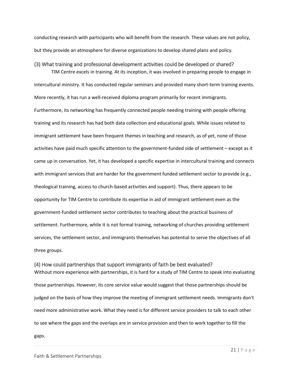conducting research with participants who will benefit from the research. These values are not policy, but they provide an atmosphere for diverse organizations to develop shared plans and policy*.*

#### <span id="page-24-0"></span>(3) What training and professional development activities could be developed or shared?

TIM Centre excels in training. At its inception, it was involved in preparing people to engage in intercultural ministry. It has conducted regular seminars and provided many short-term training events. More recently, it has run a well-received diploma program primarily for recent immigrants. Furthermore, its networking has frequently connected people needing training with people offering training and its research has had both data collection and educational goals. While issues related to immigrant settlement have been frequent themes in teaching and research, as of yet, none of those activities have paid much specific attention to the government-funded side of settlement – except as it came up in conversation. Yet, it has developed a specific expertise in intercultural training and connects with immigrant services that are harder for the government funded settlement sector to provide (e.g., theological training, access to church-based activities and support). Thus, there appears to be opportunity for TIM Centre to contribute its expertise in aid of immigrant settlement even as the government-funded settlement sector contributes to teaching about the practical business of settlement. Furthermore, while it is not formal training, networking of churches providing settlement services, the settlement sector, and immigrants themselves has potential to serve the objectives of all three groups.

#### <span id="page-24-1"></span>(4) How could partnerships that support immigrants of faith be best evaluated?

Without more experience with partnerships, it is hard for a study of TIM Centre to speak into evaluating those partnerships. However, its core service value would suggest that those partnerships should be judged on the basis of how they improve the meeting of immigrant settlement needs. Immigrants don't need more administrative work. What they need is for different service providers to talk to each other to see where the gaps and the overlaps are in service provision and then to work together to fill the gaps.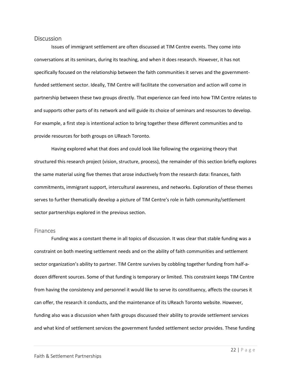#### <span id="page-25-0"></span>**Discussion**

Issues of immigrant settlement are often discussed at TIM Centre events. They come into conversations at its seminars, during its teaching, and when it does research. However, it has not specifically focused on the relationship between the faith communities it serves and the governmentfunded settlement sector. Ideally, TIM Centre will facilitate the conversation and action will come in partnership between these two groups directly. That experience can feed into how TIM Centre relates to and supports other parts of its network and will guide its choice of seminars and resources to develop. For example, a first step is intentional action to bring together these different communities and to provide resources for both groups on UReach Toronto.

Having explored what that does and could look like following the organizing theory that structured this research project (vision, structure, process), the remainder of this section briefly explores the same material using five themes that arose inductively from the research data: finances, faith commitments, immigrant support, intercultural awareness, and networks. Exploration of these themes serves to further thematically develop a picture of TIM Centre's role in faith community/settlement sector partnerships explored in the previous section.

#### <span id="page-25-1"></span>**Finances**

Funding was a constant theme in all topics of discussion. It was clear that stable funding was a constraint on both meeting settlement needs and on the ability of faith communities and settlement sector organization's ability to partner. TIM Centre survives by cobbling together funding from half-adozen different sources. Some of that funding is temporary or limited. This constraint keeps TIM Centre from having the consistency and personnel it would like to serve its constituency, affects the courses it can offer, the research it conducts, and the maintenance of its UReach Toronto website. However, funding also was a discussion when faith groups discussed their ability to provide settlement services and what kind of settlement services the government funded settlement sector provides. These funding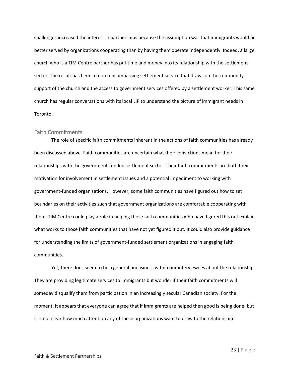challenges increased the interest in partnerships because the assumption was that immigrants would be better served by organizations cooperating than by having them operate independently. Indeed, a large church who is a TIM Centre partner has put time and money into its relationship with the settlement sector. The result has been a more encompassing settlement service that draws on the community support of the church and the access to government services offered by a settlement worker. This same church has regular conversations with its local LIP to understand the picture of immigrant needs in Toronto.

#### <span id="page-26-0"></span>Faith Commitments

The role of specific faith commitments inherent in the actions of faith communities has already been discussed above. Faith communities are uncertain what their convictions mean for their relationships with the government-funded settlement sector. Their faith commitments are both their motivation for involvement in settlement issues and a potential impediment to working with government-funded organisations. However, some faith communities have figured out how to set boundaries on their activities such that government organizations are comfortable cooperating with them. TIM Centre could play a role in helping those faith communities who have figured this out explain what works to those faith communities that have not yet figured it out. It could also provide guidance for understanding the limits of government-funded settlement organizations in engaging faith communities.

Yet, there does seem to be a general uneasiness within our interviewees about the relationship. They are providing legitimate services to immigrants but wonder if their faith commitments will someday disqualify them from participation in an increasingly secular Canadian society. For the moment, it appears that everyone can agree that if immigrants are helped then good is being done, but it is not clear how much attention any of these organizations want to draw to the relationship.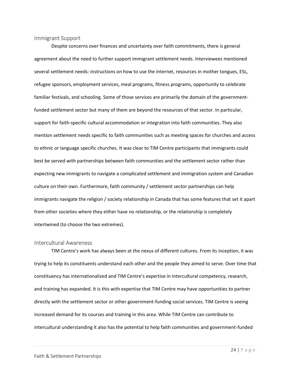#### <span id="page-27-0"></span>Immigrant Support

Despite concerns over finances and uncertainty over faith commitments, there is general agreement about the need to further support immigrant settlement needs. Interviewees mentioned several settlement needs: instructions on how to use the internet, resources in mother tongues, ESL, refugee sponsors, employment services, meal programs, fitness programs, opportunity to celebrate familiar festivals, and schooling. Some of those services are primarily the domain of the governmentfunded settlement sector but many of them are beyond the resources of that sector. In particular, support for faith-specific cultural accommodation or integration into faith communities. They also mention settlement needs specific to faith communities such as meeting spaces for churches and access to ethnic or language specific churches. It was clear to TIM Centre participants that immigrants could best be served with partnerships between faith communities and the settlement sector rather than expecting new immigrants to navigate a complicated settlement and immigration system and Canadian culture on their own. Furthermore, faith community / settlement sector partnerships can help immigrants navigate the religion / society relationship in Canada that has some features that set it apart from other societies where they either have no relationship, or the relationship is completely intertwined (to choose the two extremes).

#### <span id="page-27-1"></span>Intercultural Awareness

TIM Centre's work has always been at the nexus of different cultures. From its inception, it was trying to help its constituents understand each other and the people they aimed to serve. Over time that constituency has internationalized and TIM Centre's expertise in intercultural competency, research, and training has expanded. It is this with expertise that TIM Centre may have opportunities to partner directly with the settlement sector or other government-funding social services. TIM Centre is seeing increased demand for its courses and training in this area. While TIM Centre can contribute to intercultural understanding it also has the potential to help faith communities and government-funded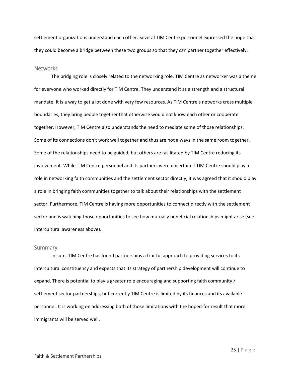settlement organizations understand each other. Several TIM Centre personnel expressed the hope that they could become a bridge between these two groups so that they can partner together effectively.

#### <span id="page-28-0"></span>**Networks**

The bridging role is closely related to the networking role. TIM Centre as networker was a theme for everyone who worked directly for TIM Centre. They understand it as a strength and a structural mandate. It is a way to get a lot done with very few resources. As TIM Centre's networks cross multiple boundaries, they bring people together that otherwise would not know each other or cooperate together. However, TIM Centre also understands the need to mediate some of those relationships. Some of its connections don't work well together and thus are not always in the same room together. Some of the relationships need to be guided, but others are facilitated by TIM Centre reducing its involvement. While TIM Centre personnel and its partners were uncertain if TIM Centre should play a role in networking faith communities and the settlement sector directly, it was agreed that it should play a role in bringing faith communities together to talk about their relationships with the settlement sector. Furthermore, TIM Centre is having more opportunities to connect directly with the settlement sector and is watching those opportunities to see how mutually beneficial relationships might arise (see intercultural awareness above).

#### <span id="page-28-1"></span>Summary

In sum, TIM Centre has found partnerships a fruitful approach to providing services to its intercultural constituency and expects that its strategy of partnership development will continue to expand. There is potential to play a greater role encouraging and supporting faith community / settlement sector partnerships, but currently TIM Centre is limited by its finances and its available personnel. It is working on addressing both of those limitations with the hoped-for result that more immigrants will be served well.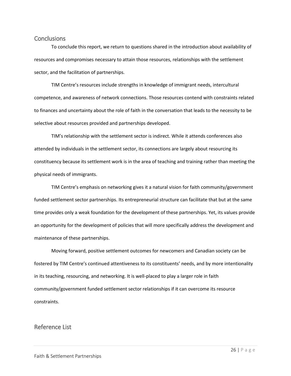#### <span id="page-29-0"></span>**Conclusions**

To conclude this report, we return to questions shared in the introduction about availability of resources and compromises necessary to attain those resources, relationships with the settlement sector, and the facilitation of partnerships.

TIM Centre's resources include strengths in knowledge of immigrant needs, intercultural competence, and awareness of network connections. Those resources contend with constraints related to finances and uncertainty about the role of faith in the conversation that leads to the necessity to be selective about resources provided and partnerships developed.

TIM's relationship with the settlement sector is indirect. While it attends conferences also attended by individuals in the settlement sector, its connections are largely about resourcing its constituency because its settlement work is in the area of teaching and training rather than meeting the physical needs of immigrants.

TIM Centre's emphasis on networking gives it a natural vision for faith community/government funded settlement sector partnerships. Its entrepreneurial structure can facilitate that but at the same time provides only a weak foundation for the development of these partnerships. Yet, its values provide an opportunity for the development of policies that will more specifically address the development and maintenance of these partnerships.

Moving forward, positive settlement outcomes for newcomers and Canadian society can be fostered by TIM Centre's continued attentiveness to its constituents' needs, and by more intentionality in its teaching, resourcing, and networking. It is well-placed to play a larger role in faith community/government funded settlement sector relationships if it can overcome its resource constraints.

# <span id="page-29-1"></span>Reference List